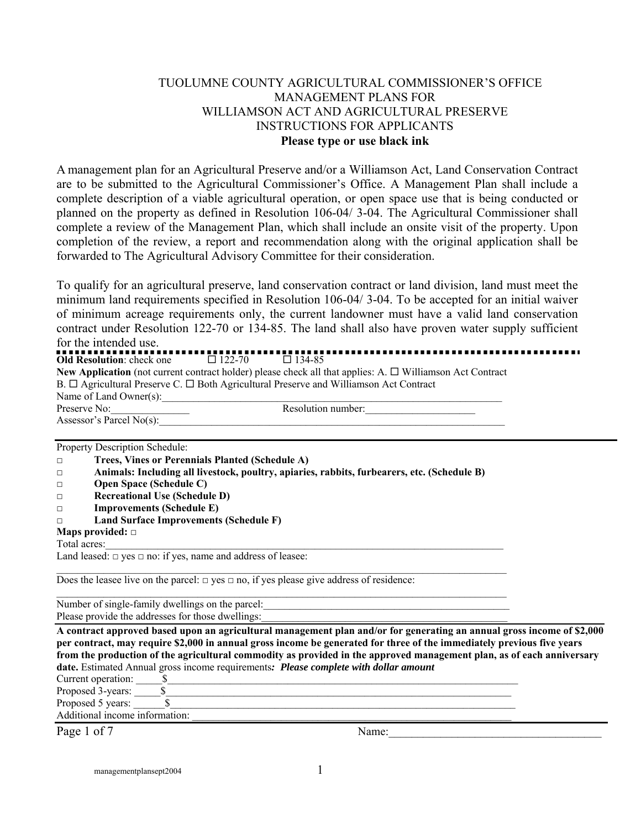#### TUOLUMNE COUNTY AGRICULTURAL COMMISSIONER'S OFFICE MANAGEMENT PLANS FOR WILLIAMSON ACT AND AGRICULTURAL PRESERVE INSTRUCTIONS FOR APPLICANTS **Please type or use black ink**

A management plan for an Agricultural Preserve and/or a Williamson Act, Land Conservation Contract are to be submitted to the Agricultural Commissioner's Office. A Management Plan shall include a complete description of a viable agricultural operation, or open space use that is being conducted or planned on the property as defined in Resolution 106-04/ 3-04. The Agricultural Commissioner shall complete a review of the Management Plan, which shall include an onsite visit of the property. Upon completion of the review, a report and recommendation along with the original application shall be forwarded to The Agricultural Advisory Committee for their consideration.

To qualify for an agricultural preserve, land conservation contract or land division, land must meet the minimum land requirements specified in Resolution 106-04/ 3-04. To be accepted for an initial waiver of minimum acreage requirements only, the current landowner must have a valid land conservation contract under Resolution 122-70 or 134-85. The land shall also have proven water supply sufficient for the intended use.

Property Description Schedule: **□ Trees, Vines or Perennials Planted (Schedule A)** 

| $11003$ , Thus of Terminals Flanted (Schedule $11$ )                                        |
|---------------------------------------------------------------------------------------------|
| Animals: Including all livestock, poultry, apiaries, rabbits, furbearers, etc. (Schedule B) |

- **□ Open Space (Schedule C)**
- **□ Recreational Use (Schedule D)**
- **□ Improvements (Schedule E)**
- **□ Land Surface Improvements (Schedule F)**
- **Maps provided: □**

Total acres:

Land leased:  $\Box$  yes  $\Box$  no: if yes, name and address of leasee:

Does the leasee live on the parcel:  $\Box$  yes  $\Box$  no, if yes please give address of residence:

 $\mathcal{L}_\mathcal{L} = \{ \mathcal{L}_\mathcal{L} = \{ \mathcal{L}_\mathcal{L} = \{ \mathcal{L}_\mathcal{L} = \{ \mathcal{L}_\mathcal{L} = \{ \mathcal{L}_\mathcal{L} = \{ \mathcal{L}_\mathcal{L} = \{ \mathcal{L}_\mathcal{L} = \{ \mathcal{L}_\mathcal{L} = \{ \mathcal{L}_\mathcal{L} = \{ \mathcal{L}_\mathcal{L} = \{ \mathcal{L}_\mathcal{L} = \{ \mathcal{L}_\mathcal{L} = \{ \mathcal{L}_\mathcal{L} = \{ \mathcal{L}_\mathcal{$ 

Number of single-family dwellings on the parcel: Please provide the addresses for those dwellings:

**A contract approved based upon an agricultural management plan and/or for generating an annual gross income of \$2,000 per contract, may require \$2,000 in annual gross income be generated for three of the immediately previous five years from the production of the agricultural commodity as provided in the approved management plan, as of each anniversary date.** Estimated Annual gross income requirements*: Please complete with dollar amount* 

Current operation:  $\S$ 

Proposed 3-years: \_\_\_\_\_\$\_\_\_\_\_\_\_\_\_\_\_\_\_\_\_\_\_\_\_\_\_\_\_\_\_\_\_\_\_\_\_\_\_\_\_\_\_\_\_\_\_\_\_\_\_\_\_\_\_\_\_\_\_\_\_\_\_\_\_\_\_\_\_\_\_\_

Proposed 5 years:  $\qquad \qquad$  \$

Additional income information:

Page 1 of 7 Name: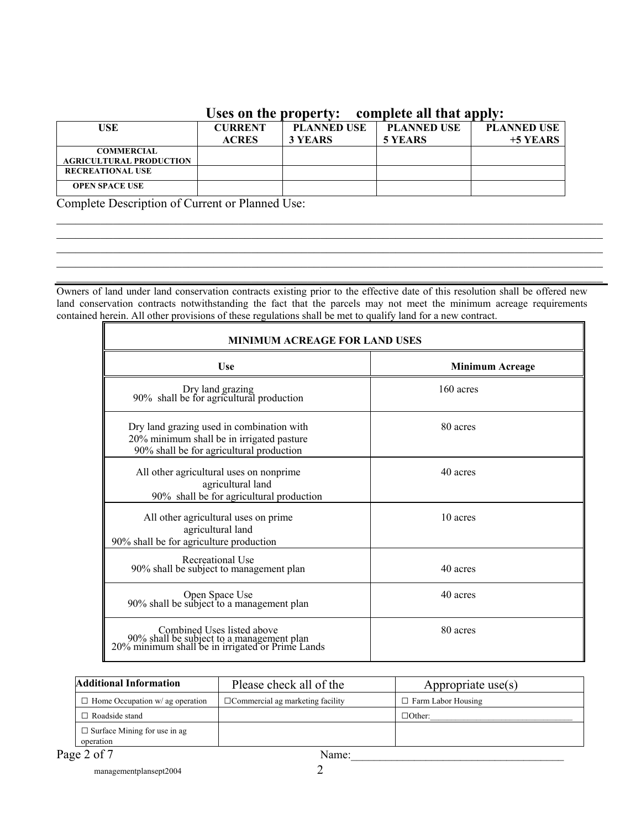#### **Uses on the property: complete all that apply:**

| USE                                                 | CURRENT<br><b>ACRES</b> | <b>PLANNED USE</b><br>3 YEARS | <b>PLANNED USE</b><br>5 YEARS | <b>PLANNED USE</b><br>$+5$ YEARS |
|-----------------------------------------------------|-------------------------|-------------------------------|-------------------------------|----------------------------------|
| <b>COMMERCIAL</b><br><b>AGRICULTURAL PRODUCTION</b> |                         |                               |                               |                                  |
| <b>RECREATIONAL USE</b>                             |                         |                               |                               |                                  |
| <b>OPEN SPACE USE</b>                               |                         |                               |                               |                                  |

Complete Description of Current or Planned Use:

Owners of land under land conservation contracts existing prior to the effective date of this resolution shall be offered new land conservation contracts notwithstanding the fact that the parcels may not meet the minimum acreage requirements contained herein. All other provisions of these regulations shall be met to qualify land for a new contract.

 $\mathcal{L}_\mathcal{L} = \{ \mathcal{L}_\mathcal{L} = \{ \mathcal{L}_\mathcal{L} = \{ \mathcal{L}_\mathcal{L} = \{ \mathcal{L}_\mathcal{L} = \{ \mathcal{L}_\mathcal{L} = \{ \mathcal{L}_\mathcal{L} = \{ \mathcal{L}_\mathcal{L} = \{ \mathcal{L}_\mathcal{L} = \{ \mathcal{L}_\mathcal{L} = \{ \mathcal{L}_\mathcal{L} = \{ \mathcal{L}_\mathcal{L} = \{ \mathcal{L}_\mathcal{L} = \{ \mathcal{L}_\mathcal{L} = \{ \mathcal{L}_\mathcal{$  $\mathcal{L}_\mathcal{L} = \{ \mathcal{L}_\mathcal{L} = \{ \mathcal{L}_\mathcal{L} = \{ \mathcal{L}_\mathcal{L} = \{ \mathcal{L}_\mathcal{L} = \{ \mathcal{L}_\mathcal{L} = \{ \mathcal{L}_\mathcal{L} = \{ \mathcal{L}_\mathcal{L} = \{ \mathcal{L}_\mathcal{L} = \{ \mathcal{L}_\mathcal{L} = \{ \mathcal{L}_\mathcal{L} = \{ \mathcal{L}_\mathcal{L} = \{ \mathcal{L}_\mathcal{L} = \{ \mathcal{L}_\mathcal{L} = \{ \mathcal{L}_\mathcal{$  $\mathcal{L}_\mathcal{L} = \{ \mathcal{L}_\mathcal{L} = \{ \mathcal{L}_\mathcal{L} = \{ \mathcal{L}_\mathcal{L} = \{ \mathcal{L}_\mathcal{L} = \{ \mathcal{L}_\mathcal{L} = \{ \mathcal{L}_\mathcal{L} = \{ \mathcal{L}_\mathcal{L} = \{ \mathcal{L}_\mathcal{L} = \{ \mathcal{L}_\mathcal{L} = \{ \mathcal{L}_\mathcal{L} = \{ \mathcal{L}_\mathcal{L} = \{ \mathcal{L}_\mathcal{L} = \{ \mathcal{L}_\mathcal{L} = \{ \mathcal{L}_\mathcal{$  $\mathcal{L}_\mathcal{L} = \{ \mathcal{L}_\mathcal{L} = \{ \mathcal{L}_\mathcal{L} = \{ \mathcal{L}_\mathcal{L} = \{ \mathcal{L}_\mathcal{L} = \{ \mathcal{L}_\mathcal{L} = \{ \mathcal{L}_\mathcal{L} = \{ \mathcal{L}_\mathcal{L} = \{ \mathcal{L}_\mathcal{L} = \{ \mathcal{L}_\mathcal{L} = \{ \mathcal{L}_\mathcal{L} = \{ \mathcal{L}_\mathcal{L} = \{ \mathcal{L}_\mathcal{L} = \{ \mathcal{L}_\mathcal{L} = \{ \mathcal{L}_\mathcal{$  $\mathcal{L}_\mathcal{L} = \mathcal{L}_\mathcal{L} = \mathcal{L}_\mathcal{L} = \mathcal{L}_\mathcal{L} = \mathcal{L}_\mathcal{L} = \mathcal{L}_\mathcal{L} = \mathcal{L}_\mathcal{L} = \mathcal{L}_\mathcal{L} = \mathcal{L}_\mathcal{L} = \mathcal{L}_\mathcal{L} = \mathcal{L}_\mathcal{L} = \mathcal{L}_\mathcal{L} = \mathcal{L}_\mathcal{L} = \mathcal{L}_\mathcal{L} = \mathcal{L}_\mathcal{L} = \mathcal{L}_\mathcal{L} = \mathcal{L}_\mathcal{L}$ 

| <b>MINIMUM ACREAGE FOR LAND USES</b>                                                                                               |                        |  |  |  |
|------------------------------------------------------------------------------------------------------------------------------------|------------------------|--|--|--|
| <b>Use</b>                                                                                                                         | <b>Minimum Acreage</b> |  |  |  |
| Dry land grazing<br>90% shall be for agricultural production                                                                       | 160 acres              |  |  |  |
| Dry land grazing used in combination with<br>20% minimum shall be in irrigated pasture<br>90% shall be for agricultural production | 80 acres               |  |  |  |
| All other agricultural uses on nonprime<br>agricultural land<br>90% shall be for agricultural production                           | 40 acres               |  |  |  |
| All other agricultural uses on prime<br>agricultural land<br>90% shall be for agriculture production                               | 10 acres               |  |  |  |
| Recreational Use<br>90% shall be subject to management plan                                                                        | 40 acres               |  |  |  |
| Open Space Use<br>90% shall be subject to a management plan                                                                        | 40 acres               |  |  |  |
| Combined Uses listed above<br>90% shall be subject to a management plan<br>20% minimum shall be in irrigated or Prime Lands        | 80 acres               |  |  |  |

| Additional Information                           | Please check all of the                 | Appropriate use $(s)$ |
|--------------------------------------------------|-----------------------------------------|-----------------------|
| $\Box$ Home Occupation w/ ag operation           | $\Box$ Commercial ag marketing facility | Farm Labor Housing    |
| $\Box$ Roadside stand                            |                                         | $\Box$ Other:         |
| $\Box$ Surface Mining for use in ag<br>operation |                                         |                       |
| Page 2 of 7                                      | Name:                                   |                       |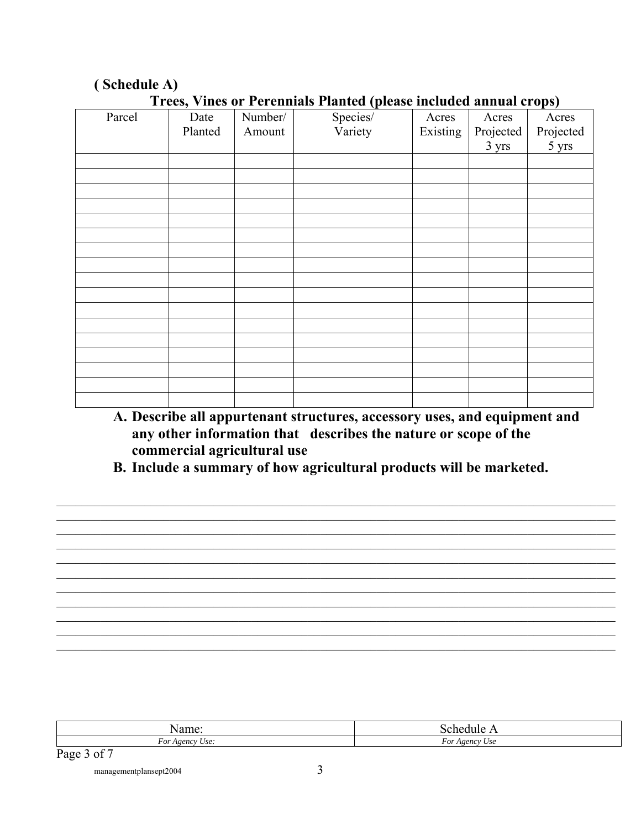| Trees, vines of Ferenmals Flanced (picase included annual crops) |         |         |          |          |           |           |
|------------------------------------------------------------------|---------|---------|----------|----------|-----------|-----------|
| Parcel                                                           | Date    | Number/ | Species/ | Acres    | Acres     | Acres     |
|                                                                  | Planted | Amount  | Variety  | Existing | Projected | Projected |
|                                                                  |         |         |          |          | 3 yrs     | 5 yrs     |
|                                                                  |         |         |          |          |           |           |
|                                                                  |         |         |          |          |           |           |
|                                                                  |         |         |          |          |           |           |
|                                                                  |         |         |          |          |           |           |
|                                                                  |         |         |          |          |           |           |
|                                                                  |         |         |          |          |           |           |
|                                                                  |         |         |          |          |           |           |
|                                                                  |         |         |          |          |           |           |
|                                                                  |         |         |          |          |           |           |
|                                                                  |         |         |          |          |           |           |
|                                                                  |         |         |          |          |           |           |
|                                                                  |         |         |          |          |           |           |
|                                                                  |         |         |          |          |           |           |
|                                                                  |         |         |          |          |           |           |
|                                                                  |         |         |          |          |           |           |
|                                                                  |         |         |          |          |           |           |
|                                                                  |         |         |          |          |           |           |

#### (Schedule A)

Trees Vines or Perennials Planted (please included annual crops)

- A. Describe all appurtenant structures, accessory uses, and equipment and any other information that describes the nature or scope of the commercial agricultural use
- B. Include a summary of how agricultural products will be marketed.

| ιαιιις                                                    |                                                    |
|-----------------------------------------------------------|----------------------------------------------------|
| $\overline{\phantom{a}}$<br>- -<br>Use:<br>For<br>A gency | $\overline{\phantom{0}}$<br>l opnev<br>Use<br>F OI |

Page 3 of 7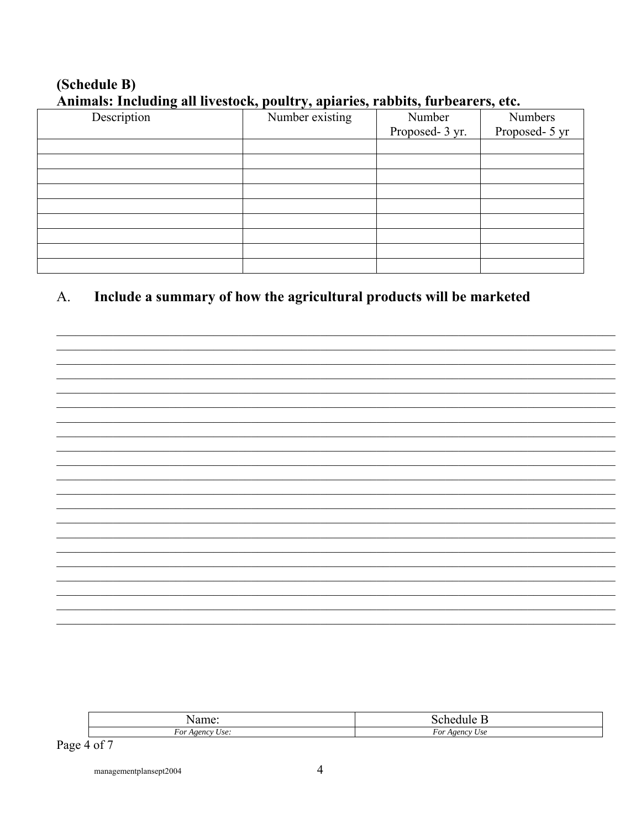# (Schedule B) Animals: Including all livestock, poultry, apiaries, rabbits, furbearers, etc.

| $\cdots$    |                 |                 |                |  |  |
|-------------|-----------------|-----------------|----------------|--|--|
| Description | Number existing | Number          | Numbers        |  |  |
|             |                 | Proposed- 3 yr. | Proposed- 5 yr |  |  |
|             |                 |                 |                |  |  |
|             |                 |                 |                |  |  |
|             |                 |                 |                |  |  |
|             |                 |                 |                |  |  |
|             |                 |                 |                |  |  |
|             |                 |                 |                |  |  |
|             |                 |                 |                |  |  |
|             |                 |                 |                |  |  |
|             |                 |                 |                |  |  |

#### Include a summary of how the agricultural products will be marketed A.

| $\overline{\phantom{a}}$<br>For<br>0.0110<br>$\cdots$<br>$\lambda$ r | $\alpha$<br><b>CALLA</b><br>/ St<br>. . |
|----------------------------------------------------------------------|-----------------------------------------|

Page 4 of 7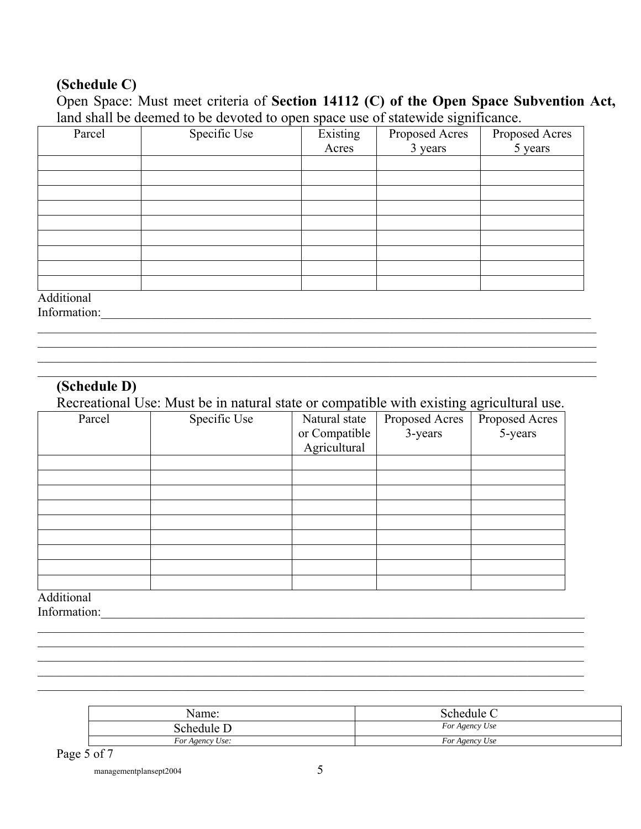## **(Schedule C)**

## Open Space: Must meet criteria of **Section 14112 (C) of the Open Space Subvention Act,**  land shall be deemed to be devoted to open space use of statewide significance.

| Parcel     | Specific Use | Existing<br>Acres | Proposed Acres<br>3 years | Proposed Acres<br>5 years |
|------------|--------------|-------------------|---------------------------|---------------------------|
|            |              |                   |                           |                           |
|            |              |                   |                           |                           |
|            |              |                   |                           |                           |
|            |              |                   |                           |                           |
|            |              |                   |                           |                           |
|            |              |                   |                           |                           |
|            |              |                   |                           |                           |
|            |              |                   |                           |                           |
|            |              |                   |                           |                           |
| Additional |              |                   |                           |                           |

Information:

### **(Schedule D)**

Recreational Use: Must be in natural state or compatible with existing agricultural use.

 $\mathcal{L}_\mathcal{L} = \mathcal{L}_\mathcal{L} = \mathcal{L}_\mathcal{L} = \mathcal{L}_\mathcal{L} = \mathcal{L}_\mathcal{L} = \mathcal{L}_\mathcal{L} = \mathcal{L}_\mathcal{L} = \mathcal{L}_\mathcal{L} = \mathcal{L}_\mathcal{L} = \mathcal{L}_\mathcal{L} = \mathcal{L}_\mathcal{L} = \mathcal{L}_\mathcal{L} = \mathcal{L}_\mathcal{L} = \mathcal{L}_\mathcal{L} = \mathcal{L}_\mathcal{L} = \mathcal{L}_\mathcal{L} = \mathcal{L}_\mathcal{L}$  $\mathcal{L}_\mathcal{L} = \mathcal{L}_\mathcal{L} = \mathcal{L}_\mathcal{L} = \mathcal{L}_\mathcal{L} = \mathcal{L}_\mathcal{L} = \mathcal{L}_\mathcal{L} = \mathcal{L}_\mathcal{L} = \mathcal{L}_\mathcal{L} = \mathcal{L}_\mathcal{L} = \mathcal{L}_\mathcal{L} = \mathcal{L}_\mathcal{L} = \mathcal{L}_\mathcal{L} = \mathcal{L}_\mathcal{L} = \mathcal{L}_\mathcal{L} = \mathcal{L}_\mathcal{L} = \mathcal{L}_\mathcal{L} = \mathcal{L}_\mathcal{L}$ 

 $\mathcal{L}_\mathcal{L} = \mathcal{L}_\mathcal{L} = \mathcal{L}_\mathcal{L} = \mathcal{L}_\mathcal{L} = \mathcal{L}_\mathcal{L} = \mathcal{L}_\mathcal{L} = \mathcal{L}_\mathcal{L} = \mathcal{L}_\mathcal{L} = \mathcal{L}_\mathcal{L} = \mathcal{L}_\mathcal{L} = \mathcal{L}_\mathcal{L} = \mathcal{L}_\mathcal{L} = \mathcal{L}_\mathcal{L} = \mathcal{L}_\mathcal{L} = \mathcal{L}_\mathcal{L} = \mathcal{L}_\mathcal{L} = \mathcal{L}_\mathcal{L}$ 

| Parcel | Specific Use | Natural state<br>or Compatible | Proposed Acres<br>3-years | Proposed Acres<br>5-years |
|--------|--------------|--------------------------------|---------------------------|---------------------------|
|        |              | Agricultural                   |                           |                           |
|        |              |                                |                           |                           |
|        |              |                                |                           |                           |
|        |              |                                |                           |                           |
|        |              |                                |                           |                           |
|        |              |                                |                           |                           |
|        |              |                                |                           |                           |
|        |              |                                |                           |                           |
|        |              |                                |                           |                           |
|        |              |                                |                           |                           |

 $\mathcal{L}_\mathcal{L} = \{ \mathcal{L}_\mathcal{L} = \{ \mathcal{L}_\mathcal{L} = \{ \mathcal{L}_\mathcal{L} = \{ \mathcal{L}_\mathcal{L} = \{ \mathcal{L}_\mathcal{L} = \{ \mathcal{L}_\mathcal{L} = \{ \mathcal{L}_\mathcal{L} = \{ \mathcal{L}_\mathcal{L} = \{ \mathcal{L}_\mathcal{L} = \{ \mathcal{L}_\mathcal{L} = \{ \mathcal{L}_\mathcal{L} = \{ \mathcal{L}_\mathcal{L} = \{ \mathcal{L}_\mathcal{L} = \{ \mathcal{L}_\mathcal{$  $\mathcal{L}_\mathcal{L} = \{ \mathcal{L}_\mathcal{L} = \{ \mathcal{L}_\mathcal{L} = \{ \mathcal{L}_\mathcal{L} = \{ \mathcal{L}_\mathcal{L} = \{ \mathcal{L}_\mathcal{L} = \{ \mathcal{L}_\mathcal{L} = \{ \mathcal{L}_\mathcal{L} = \{ \mathcal{L}_\mathcal{L} = \{ \mathcal{L}_\mathcal{L} = \{ \mathcal{L}_\mathcal{L} = \{ \mathcal{L}_\mathcal{L} = \{ \mathcal{L}_\mathcal{L} = \{ \mathcal{L}_\mathcal{L} = \{ \mathcal{L}_\mathcal{$  $\mathcal{L}_\mathcal{L} = \{ \mathcal{L}_\mathcal{L} = \{ \mathcal{L}_\mathcal{L} = \{ \mathcal{L}_\mathcal{L} = \{ \mathcal{L}_\mathcal{L} = \{ \mathcal{L}_\mathcal{L} = \{ \mathcal{L}_\mathcal{L} = \{ \mathcal{L}_\mathcal{L} = \{ \mathcal{L}_\mathcal{L} = \{ \mathcal{L}_\mathcal{L} = \{ \mathcal{L}_\mathcal{L} = \{ \mathcal{L}_\mathcal{L} = \{ \mathcal{L}_\mathcal{L} = \{ \mathcal{L}_\mathcal{L} = \{ \mathcal{L}_\mathcal{$  $\mathcal{L}_\mathcal{L} = \mathcal{L}_\mathcal{L} = \mathcal{L}_\mathcal{L} = \mathcal{L}_\mathcal{L} = \mathcal{L}_\mathcal{L} = \mathcal{L}_\mathcal{L} = \mathcal{L}_\mathcal{L} = \mathcal{L}_\mathcal{L} = \mathcal{L}_\mathcal{L} = \mathcal{L}_\mathcal{L} = \mathcal{L}_\mathcal{L} = \mathcal{L}_\mathcal{L} = \mathcal{L}_\mathcal{L} = \mathcal{L}_\mathcal{L} = \mathcal{L}_\mathcal{L} = \mathcal{L}_\mathcal{L} = \mathcal{L}_\mathcal{L}$  $\mathcal{L}_\mathcal{L} = \mathcal{L}_\mathcal{L} = \mathcal{L}_\mathcal{L} = \mathcal{L}_\mathcal{L} = \mathcal{L}_\mathcal{L} = \mathcal{L}_\mathcal{L} = \mathcal{L}_\mathcal{L} = \mathcal{L}_\mathcal{L} = \mathcal{L}_\mathcal{L} = \mathcal{L}_\mathcal{L} = \mathcal{L}_\mathcal{L} = \mathcal{L}_\mathcal{L} = \mathcal{L}_\mathcal{L} = \mathcal{L}_\mathcal{L} = \mathcal{L}_\mathcal{L} = \mathcal{L}_\mathcal{L} = \mathcal{L}_\mathcal{L}$ 

Additional

Information:\_\_\_\_\_\_\_\_\_\_\_\_\_\_\_\_\_\_\_\_\_\_\_\_\_\_\_\_\_\_\_\_\_\_\_\_\_\_\_\_\_\_\_\_\_\_\_\_\_\_\_\_\_\_\_\_\_\_\_\_\_\_\_\_\_\_\_\_\_\_\_\_\_\_\_\_\_

| Name:           | Schedule C     |
|-----------------|----------------|
| Schedule D      | For Agency Use |
| For Agency Use: | For Agency Use |

Page 5 of 7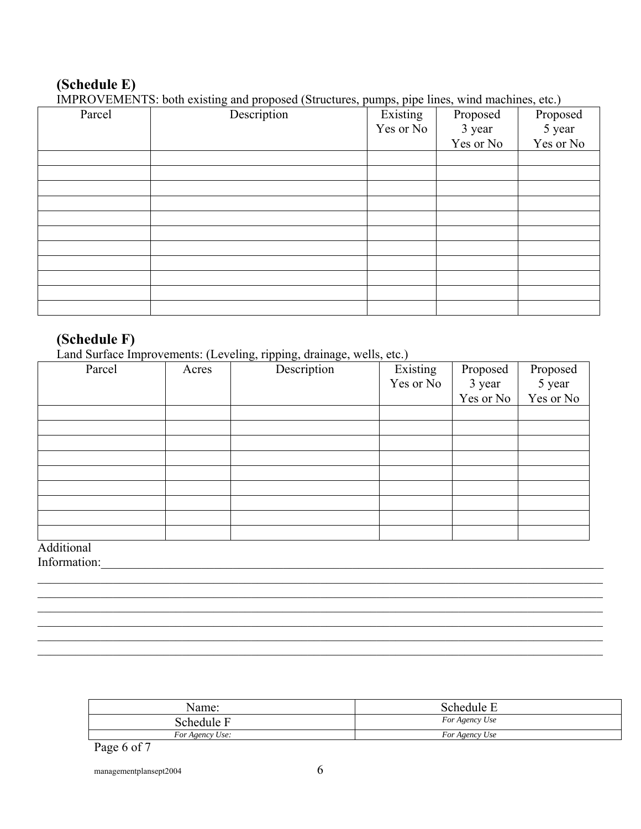# **(Schedule E)**

IMPROVEMENTS: both existing and proposed (Structures, pumps, pipe lines, wind machines, etc.)

| Parcel | The RO VENIER LD. Out Calsung and proposed (Butacures, pamps, pipe mics, which machines, cic.)<br>Description | Existing  | Proposed  | Proposed  |
|--------|---------------------------------------------------------------------------------------------------------------|-----------|-----------|-----------|
|        |                                                                                                               | Yes or No | 3 year    | 5 year    |
|        |                                                                                                               |           | Yes or No | Yes or No |
|        |                                                                                                               |           |           |           |
|        |                                                                                                               |           |           |           |
|        |                                                                                                               |           |           |           |
|        |                                                                                                               |           |           |           |
|        |                                                                                                               |           |           |           |
|        |                                                                                                               |           |           |           |
|        |                                                                                                               |           |           |           |
|        |                                                                                                               |           |           |           |
|        |                                                                                                               |           |           |           |
|        |                                                                                                               |           |           |           |
|        |                                                                                                               |           |           |           |

# **(Schedule F)**

Land Surface Improvements: (Leveling, ripping, drainage, wells, etc.)

| Parcel | Acres | ັ<br><u>。</u><br>Description | Existing<br>Yes or No | Proposed<br>3 year | Proposed<br>5 year |
|--------|-------|------------------------------|-----------------------|--------------------|--------------------|
|        |       |                              |                       | Yes or No          | Yes or No          |
|        |       |                              |                       |                    |                    |
|        |       |                              |                       |                    |                    |
|        |       |                              |                       |                    |                    |
|        |       |                              |                       |                    |                    |
|        |       |                              |                       |                    |                    |
|        |       |                              |                       |                    |                    |
|        |       |                              |                       |                    |                    |
|        |       |                              |                       |                    |                    |
|        |       |                              |                       |                    |                    |

 $\mathcal{L}_\mathcal{L} = \mathcal{L}_\mathcal{L} = \mathcal{L}_\mathcal{L} = \mathcal{L}_\mathcal{L} = \mathcal{L}_\mathcal{L} = \mathcal{L}_\mathcal{L} = \mathcal{L}_\mathcal{L} = \mathcal{L}_\mathcal{L} = \mathcal{L}_\mathcal{L} = \mathcal{L}_\mathcal{L} = \mathcal{L}_\mathcal{L} = \mathcal{L}_\mathcal{L} = \mathcal{L}_\mathcal{L} = \mathcal{L}_\mathcal{L} = \mathcal{L}_\mathcal{L} = \mathcal{L}_\mathcal{L} = \mathcal{L}_\mathcal{L}$  $\mathcal{L}_\mathcal{L} = \mathcal{L}_\mathcal{L} = \mathcal{L}_\mathcal{L} = \mathcal{L}_\mathcal{L} = \mathcal{L}_\mathcal{L} = \mathcal{L}_\mathcal{L} = \mathcal{L}_\mathcal{L} = \mathcal{L}_\mathcal{L} = \mathcal{L}_\mathcal{L} = \mathcal{L}_\mathcal{L} = \mathcal{L}_\mathcal{L} = \mathcal{L}_\mathcal{L} = \mathcal{L}_\mathcal{L} = \mathcal{L}_\mathcal{L} = \mathcal{L}_\mathcal{L} = \mathcal{L}_\mathcal{L} = \mathcal{L}_\mathcal{L}$  $\mathcal{L}_\mathcal{L} = \mathcal{L}_\mathcal{L} = \mathcal{L}_\mathcal{L} = \mathcal{L}_\mathcal{L} = \mathcal{L}_\mathcal{L} = \mathcal{L}_\mathcal{L} = \mathcal{L}_\mathcal{L} = \mathcal{L}_\mathcal{L} = \mathcal{L}_\mathcal{L} = \mathcal{L}_\mathcal{L} = \mathcal{L}_\mathcal{L} = \mathcal{L}_\mathcal{L} = \mathcal{L}_\mathcal{L} = \mathcal{L}_\mathcal{L} = \mathcal{L}_\mathcal{L} = \mathcal{L}_\mathcal{L} = \mathcal{L}_\mathcal{L}$  $\mathcal{L}_\mathcal{L} = \mathcal{L}_\mathcal{L} = \mathcal{L}_\mathcal{L} = \mathcal{L}_\mathcal{L} = \mathcal{L}_\mathcal{L} = \mathcal{L}_\mathcal{L} = \mathcal{L}_\mathcal{L} = \mathcal{L}_\mathcal{L} = \mathcal{L}_\mathcal{L} = \mathcal{L}_\mathcal{L} = \mathcal{L}_\mathcal{L} = \mathcal{L}_\mathcal{L} = \mathcal{L}_\mathcal{L} = \mathcal{L}_\mathcal{L} = \mathcal{L}_\mathcal{L} = \mathcal{L}_\mathcal{L} = \mathcal{L}_\mathcal{L}$  $\mathcal{L}_\mathcal{L} = \mathcal{L}_\mathcal{L} = \mathcal{L}_\mathcal{L} = \mathcal{L}_\mathcal{L} = \mathcal{L}_\mathcal{L} = \mathcal{L}_\mathcal{L} = \mathcal{L}_\mathcal{L} = \mathcal{L}_\mathcal{L} = \mathcal{L}_\mathcal{L} = \mathcal{L}_\mathcal{L} = \mathcal{L}_\mathcal{L} = \mathcal{L}_\mathcal{L} = \mathcal{L}_\mathcal{L} = \mathcal{L}_\mathcal{L} = \mathcal{L}_\mathcal{L} = \mathcal{L}_\mathcal{L} = \mathcal{L}_\mathcal{L}$  $\mathcal{L}_\mathcal{L} = \mathcal{L}_\mathcal{L} = \mathcal{L}_\mathcal{L} = \mathcal{L}_\mathcal{L} = \mathcal{L}_\mathcal{L} = \mathcal{L}_\mathcal{L} = \mathcal{L}_\mathcal{L} = \mathcal{L}_\mathcal{L} = \mathcal{L}_\mathcal{L} = \mathcal{L}_\mathcal{L} = \mathcal{L}_\mathcal{L} = \mathcal{L}_\mathcal{L} = \mathcal{L}_\mathcal{L} = \mathcal{L}_\mathcal{L} = \mathcal{L}_\mathcal{L} = \mathcal{L}_\mathcal{L} = \mathcal{L}_\mathcal{L}$ 

Additional

Information:

| Name:           | Schedule       |
|-----------------|----------------|
| Schedule        | For Agency Use |
| For Agency Use: | For Agency Use |

#### Page 6 of 7